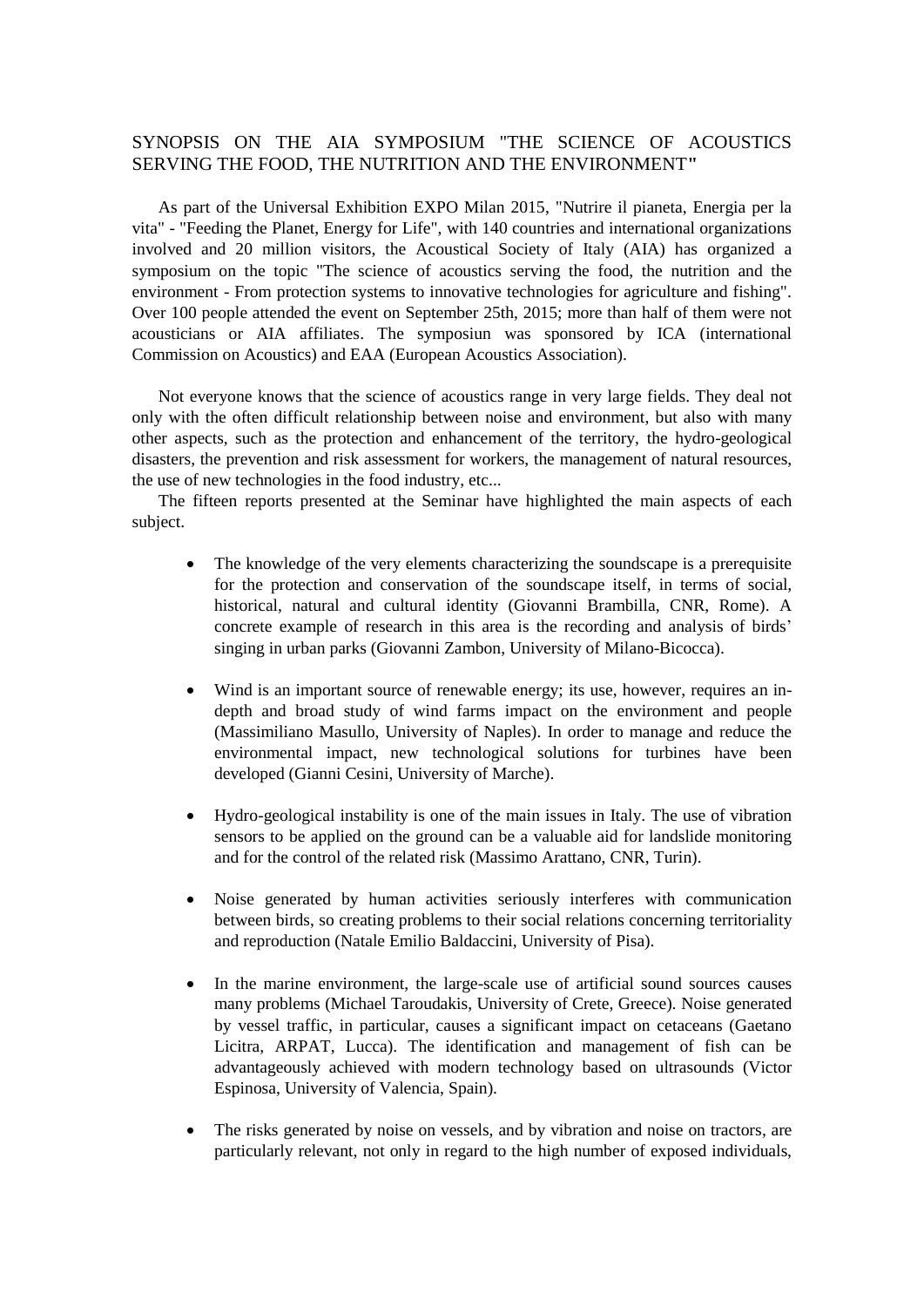## SYNOPSIS ON THE AIA SYMPOSIUM "THE SCIENCE OF ACOUSTICS SERVING THE FOOD, THE NUTRITION AND THE ENVIRONMENT**"**

As part of the Universal Exhibition EXPO Milan 2015, "Nutrire il pianeta, Energia per la vita" - "Feeding the Planet, Energy for Life", with 140 countries and international organizations involved and 20 million visitors, the Acoustical Society of Italy (AIA) has organized a symposium on the topic "The science of acoustics serving the food, the nutrition and the environment - From protection systems to innovative technologies for agriculture and fishing". Over 100 people attended the event on September 25th, 2015; more than half of them were not acousticians or AIA affiliates. The symposiun was sponsored by ICA (international Commission on Acoustics) and EAA (European Acoustics Association).

Not everyone knows that the science of acoustics range in very large fields. They deal not only with the often difficult relationship between noise and environment, but also with many other aspects, such as the protection and enhancement of the territory, the hydro-geological disasters, the prevention and risk assessment for workers, the management of natural resources, the use of new technologies in the food industry, etc...

The fifteen reports presented at the Seminar have highlighted the main aspects of each subject.

- The knowledge of the very elements characterizing the soundscape is a prerequisite for the protection and conservation of the soundscape itself, in terms of social, historical, natural and cultural identity (Giovanni Brambilla, CNR, Rome). A concrete example of research in this area is the recording and analysis of birds' singing in urban parks (Giovanni Zambon, University of Milano-Bicocca).
- Wind is an important source of renewable energy; its use, however, requires an indepth and broad study of wind farms impact on the environment and people (Massimiliano Masullo, University of Naples). In order to manage and reduce the environmental impact, new technological solutions for turbines have been developed (Gianni Cesini, University of Marche).
- Hydro-geological instability is one of the main issues in Italy. The use of vibration sensors to be applied on the ground can be a valuable aid for landslide monitoring and for the control of the related risk (Massimo Arattano, CNR, Turin).
- Noise generated by human activities seriously interferes with communication between birds, so creating problems to their social relations concerning territoriality and reproduction (Natale Emilio Baldaccini, University of Pisa).
- In the marine environment, the large-scale use of artificial sound sources causes many problems (Michael Taroudakis, University of Crete, Greece). Noise generated by vessel traffic, in particular, causes a significant impact on cetaceans (Gaetano Licitra, ARPAT, Lucca). The identification and management of fish can be advantageously achieved with modern technology based on ultrasounds (Victor Espinosa, University of Valencia, Spain).
- The risks generated by noise on vessels, and by vibration and noise on tractors, are particularly relevant, not only in regard to the high number of exposed individuals,